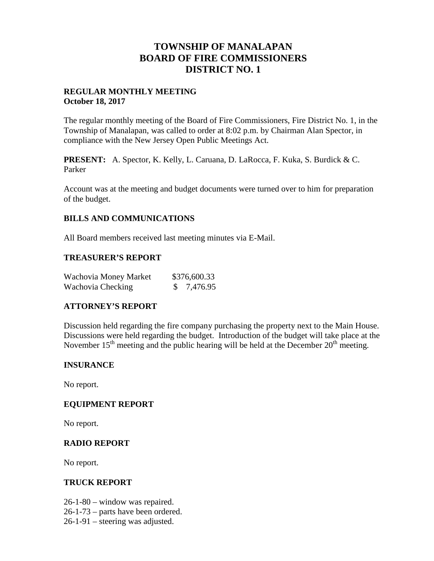# **TOWNSHIP OF MANALAPAN BOARD OF FIRE COMMISSIONERS DISTRICT NO. 1**

# **REGULAR MONTHLY MEETING October 18, 2017**

The regular monthly meeting of the Board of Fire Commissioners, Fire District No. 1, in the Township of Manalapan, was called to order at 8:02 p.m. by Chairman Alan Spector, in compliance with the New Jersey Open Public Meetings Act.

**PRESENT:** A. Spector, K. Kelly, L. Caruana, D. LaRocca, F. Kuka, S. Burdick & C. Parker

Account was at the meeting and budget documents were turned over to him for preparation of the budget.

# **BILLS AND COMMUNICATIONS**

All Board members received last meeting minutes via E-Mail.

## **TREASURER'S REPORT**

| Wachovia Money Market | \$376,600.33 |
|-----------------------|--------------|
| Wachovia Checking     | \$7,476.95   |

## **ATTORNEY'S REPORT**

Discussion held regarding the fire company purchasing the property next to the Main House. Discussions were held regarding the budget. Introduction of the budget will take place at the November  $15<sup>th</sup>$  meeting and the public hearing will be held at the December  $20<sup>th</sup>$  meeting.

#### **INSURANCE**

No report.

## **EQUIPMENT REPORT**

No report.

## **RADIO REPORT**

No report.

#### **TRUCK REPORT**

- 26-1-80 window was repaired.
- 26-1-73 parts have been ordered.
- 26-1-91 steering was adjusted.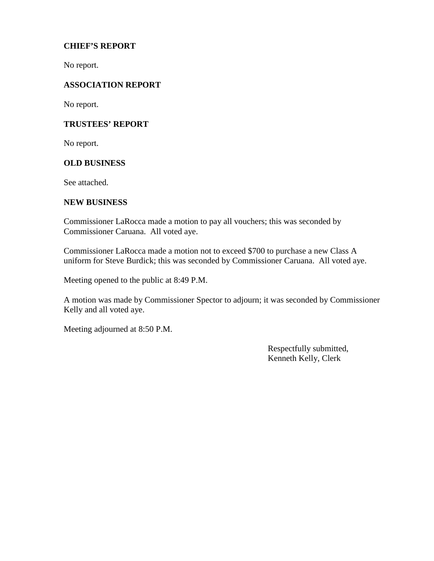# **CHIEF'S REPORT**

No report.

# **ASSOCIATION REPORT**

No report.

## **TRUSTEES' REPORT**

No report.

## **OLD BUSINESS**

See attached.

### **NEW BUSINESS**

Commissioner LaRocca made a motion to pay all vouchers; this was seconded by Commissioner Caruana. All voted aye.

Commissioner LaRocca made a motion not to exceed \$700 to purchase a new Class A uniform for Steve Burdick; this was seconded by Commissioner Caruana. All voted aye.

Meeting opened to the public at 8:49 P.M.

A motion was made by Commissioner Spector to adjourn; it was seconded by Commissioner Kelly and all voted aye.

Meeting adjourned at 8:50 P.M.

Respectfully submitted, Kenneth Kelly, Clerk